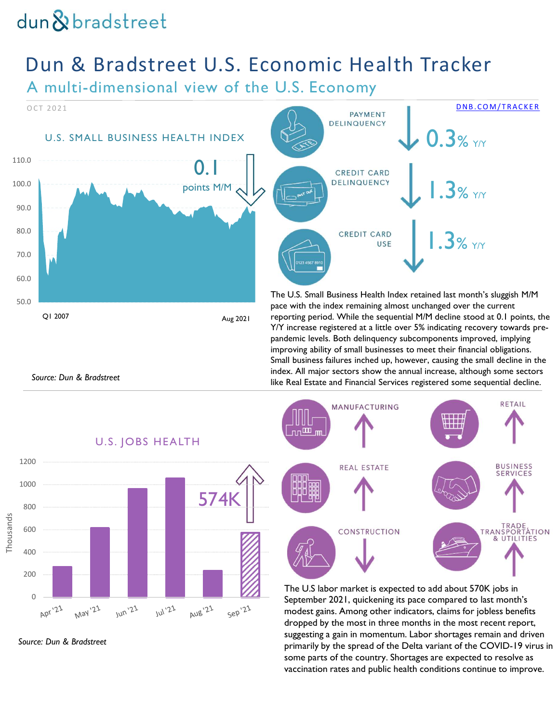# Dun & Bradstreet U.S. Economic Health Tracker

A multi-dimensional view of the U.S. Economy



Source: Dun & Bradstreet









improving ability of small businesses to meet their financial obligations. Small business failures inched up, however, causing the small decline in the index. All major sectors show the annual increase, although some sectors like Real Estate and Financial Services registered some sequential decline.

The U.S labor market is expected to add about 570K jobs in September 2021, quickening its pace compared to last month's modest gains. Among other indicators, claims for jobless benefits dropped by the most in three months in the most recent report, primarily by the spread of the Delta variant of the COVID-19 virus in some parts of the country. Shortages are expected to resolve as vaccination rates and public health conditions continue to improve.